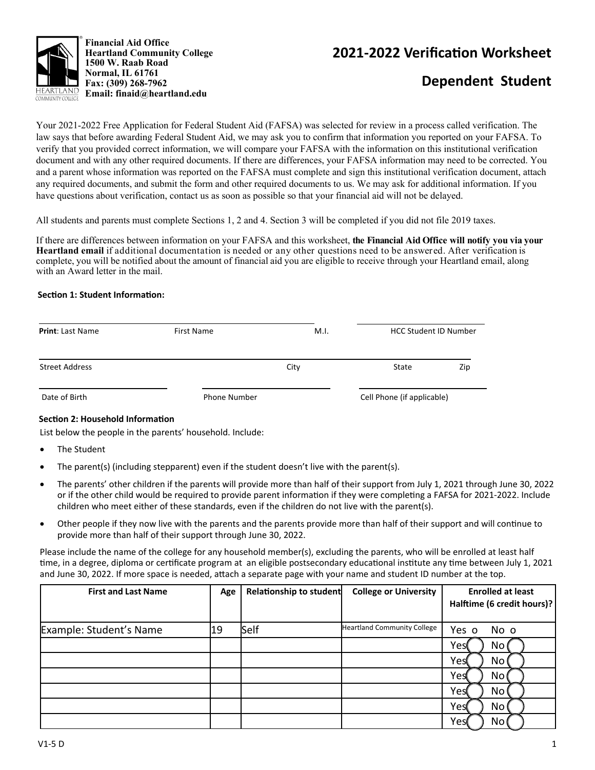

## **2021‐2022 VerificaƟon Worksheet**

# **Dependent Student**

Your 2021-2022 Free Application for Federal Student Aid (FAFSA) was selected for review in a process called verification. The law says that before awarding Federal Student Aid, we may ask you to confirm that information you reported on your FAFSA. To verify that you provided correct information, we will compare your FAFSA with the information on this institutional verification document and with any other required documents. If there are differences, your FAFSA information may need to be corrected. You and a parent whose information was reported on the FAFSA must complete and sign this institutional verification document, attach any required documents, and submit the form and other required documents to us. We may ask for additional information. If you have questions about verification, contact us as soon as possible so that your financial aid will not be delayed.

All students and parents must complete Sections 1, 2 and 4. Section 3 will be completed if you did not file 2019 taxes.

If there are differences between information on your FAFSA and this worksheet, **the Financial Aid Office will notify you via your Heartland email** if additional documentation is needed or any other questions need to be answered. After verification is complete, you will be notified about the amount of financial aid you are eligible to receive through your Heartland email, along with an Award letter in the mail.

#### **SecƟon 1: Student InformaƟon:**

| <b>Print: Last Name</b> | First Name          | M.I. | <b>HCC Student ID Number</b> |     |
|-------------------------|---------------------|------|------------------------------|-----|
| <b>Street Address</b>   |                     | City | State                        | Zip |
| Date of Birth           | <b>Phone Number</b> |      | Cell Phone (if applicable)   |     |

#### **Section 2: Household Information**

List below the people in the parents' household. Include:

- The Student
- The parent(s) (including stepparent) even if the student doesn't live with the parent(s).
- The parents' other children if the parents will provide more than half of their support from July 1, 2021 through June 30, 2022 or if the other child would be required to provide parent information if they were completing a FAFSA for 2021-2022. Include children who meet either of these standards, even if the children do not live with the parent(s).
- Other people if they now live with the parents and the parents provide more than half of their support and will continue to provide more than half of their support through June 30, 2022.

Please include the name of the college for any household member(s), excluding the parents, who will be enrolled at least half time, in a degree, diploma or certificate program at an eligible postsecondary educational institute any time between July 1, 2021 and June 30, 2022. If more space is needed, attach a separate page with your name and student ID number at the top.

| <b>First and Last Name</b> | Age | <b>Relationship to student</b> | <b>College or University</b>       | <b>Enrolled at least</b>   |  |
|----------------------------|-----|--------------------------------|------------------------------------|----------------------------|--|
|                            |     |                                |                                    | Halftime (6 credit hours)? |  |
| Example: Student's Name    | 19  | Self                           | <b>Heartland Community College</b> | Yes o<br>No o              |  |
|                            |     |                                |                                    | Yes(<br>No                 |  |
|                            |     |                                |                                    | Yes<br>No                  |  |
|                            |     |                                |                                    | Yest<br>No                 |  |
|                            |     |                                |                                    | Yes<br>No                  |  |
|                            |     |                                |                                    | Yes<br>No.                 |  |
|                            |     |                                |                                    | Yes<br>No                  |  |